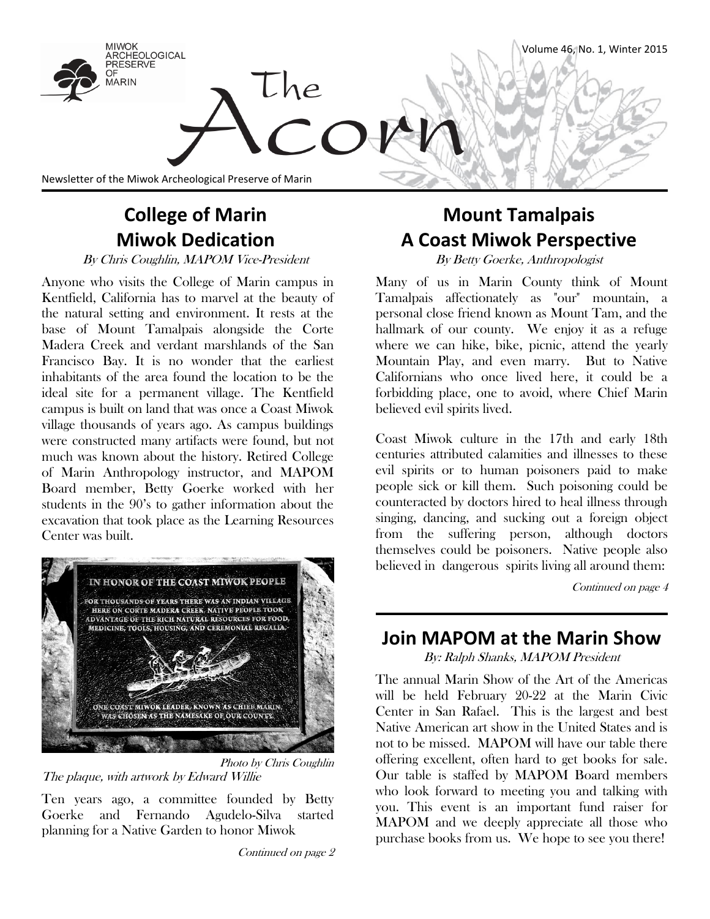

## **College of Marin Miwok Dedication**

By Chris Coughlin, MAPOM Vice-President By Betty Goerke, Anthropologist

Anyone who visits the College of Marin campus in Kentfield, California has to marvel at the beauty of the natural setting and environment. It rests at the base of Mount Tamalpais alongside the Corte Madera Creek and verdant marshlands of the San Francisco Bay. It is no wonder that the earliest inhabitants of the area found the location to be the ideal site for a permanent village. The Kentfield campus is built on land that was once a Coast Miwok village thousands of years ago. As campus buildings were constructed many artifacts were found, but not much was known about the history. Retired College of Marin Anthropology instructor, and MAPOM Board member, Betty Goerke worked with her students in the 90's to gather information about the excavation that took place as the Learning Resources Center was built.



Photo by Chris Coughlin The plaque, with artwork by Edward Willie

Ten years ago, a committee founded by Betty Goerke and Fernando Agudelo-Silva started planning for a Native Garden to honor Miwok

# **Mount Tamalpais A Coast Miwok Perspective**

Many of us in Marin County think of Mount Tamalpais affectionately as "our" mountain, a personal close friend known as Mount Tam, and the hallmark of our county. We enjoy it as a refuge where we can hike, bike, picnic, attend the yearly Mountain Play, and even marry. But to Native Californians who once lived here, it could be a forbidding place, one to avoid, where Chief Marin believed evil spirits lived.

Coast Miwok culture in the 17th and early 18th centuries attributed calamities and illnesses to these evil spirits or to human poisoners paid to make people sick or kill them. Such poisoning could be counteracted by doctors hired to heal illness through singing, dancing, and sucking out a foreign object from the suffering person, although doctors themselves could be poisoners. Native people also believed in dangerous spirits living all around them:

Continued on page 4

## **Join MAPOM at the Marin Show**

By: Ralph Shanks, MAPOM President

The annual Marin Show of the Art of the Americas will be held February 20-22 at the Marin Civic Center in San Rafael. This is the largest and best Native American art show in the United States and is not to be missed. MAPOM will have our table there offering excellent, often hard to get books for sale. Our table is staffed by MAPOM Board members who look forward to meeting you and talking with you. This event is an important fund raiser for MAPOM and we deeply appreciate all those who purchase books from us. We hope to see you there!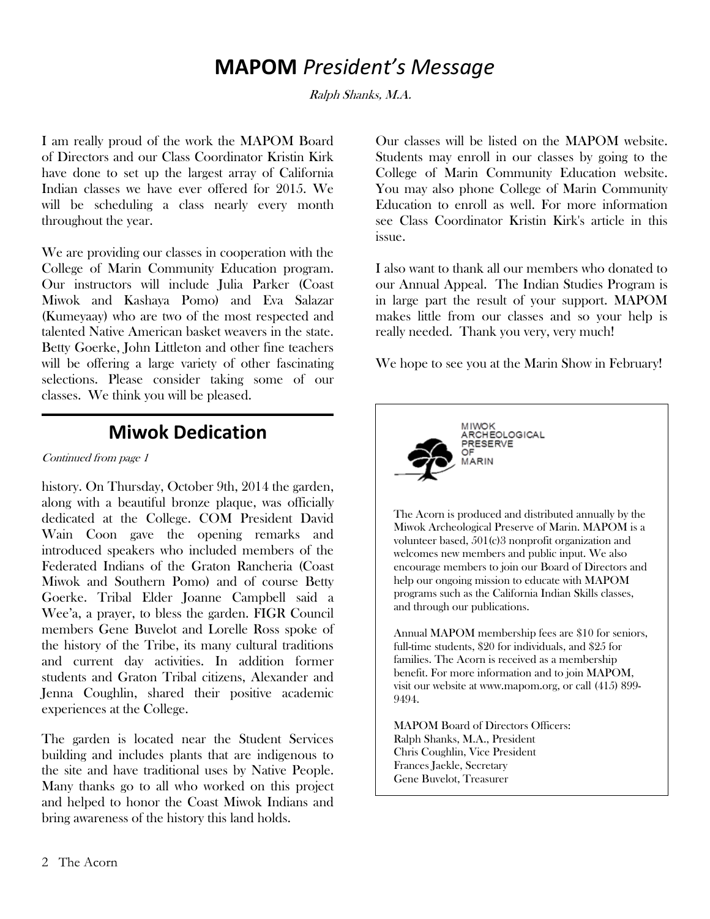## **MAPOM** *President's Message*

Ralph Shanks, M.A.

I am really proud of the work the MAPOM Board of Directors and our Class Coordinator Kristin Kirk have done to set up the largest array of California Indian classes we have ever offered for 2015. We will be scheduling a class nearly every month throughout the year.

We are providing our classes in cooperation with the College of Marin Community Education program. Our instructors will include Julia Parker (Coast Miwok and Kashaya Pomo) and Eva Salazar (Kumeyaay) who are two of the most respected and talented Native American basket weavers in the state. Betty Goerke, John Littleton and other fine teachers will be offering a large variety of other fascinating selections. Please consider taking some of our classes. We think you will be pleased.

### **Miwok Dedication**

#### Continued from page 1

history. On Thursday, October 9th, 2014 the garden, along with a beautiful bronze plaque, was officially dedicated at the College. COM President David Wain Coon gave the opening remarks and introduced speakers who included members of the Federated Indians of the Graton Rancheria (Coast Miwok and Southern Pomo) and of course Betty Goerke. Tribal Elder Joanne Campbell said a Wee'a, a prayer, to bless the garden. FIGR Council members Gene Buvelot and Lorelle Ross spoke of the history of the Tribe, its many cultural traditions and current day activities. In addition former students and Graton Tribal citizens, Alexander and Jenna Coughlin, shared their positive academic experiences at the College.

The garden is located near the Student Services building and includes plants that are indigenous to the site and have traditional uses by Native People. Many thanks go to all who worked on this project and helped to honor the Coast Miwok Indians and bring awareness of the history this land holds.

Our classes will be listed on the MAPOM website. Students may enroll in our classes by going to the College of Marin Community Education website. You may also phone College of Marin Community Education to enroll as well. For more information see Class Coordinator Kristin Kirk's article in this issue.

I also want to thank all our members who donated to our Annual Appeal. The Indian Studies Program is in large part the result of your support. MAPOM makes little from our classes and so your help is really needed. Thank you very, very much!

We hope to see you at the Marin Show in February!



Annual MAPOM membership fees are \$10 for seniors, full-time students, \$20 for individuals, and \$25 for families. The Acorn is received as a membership benefit. For more information and to join MAPOM, visit our website at www.mapom.org, or call (415) 899- 9494.

MAPOM Board of Directors Officers: Ralph Shanks, M.A., President Chris Coughlin, Vice President Frances Jaekle, Secretary Gene Buvelot, Treasurer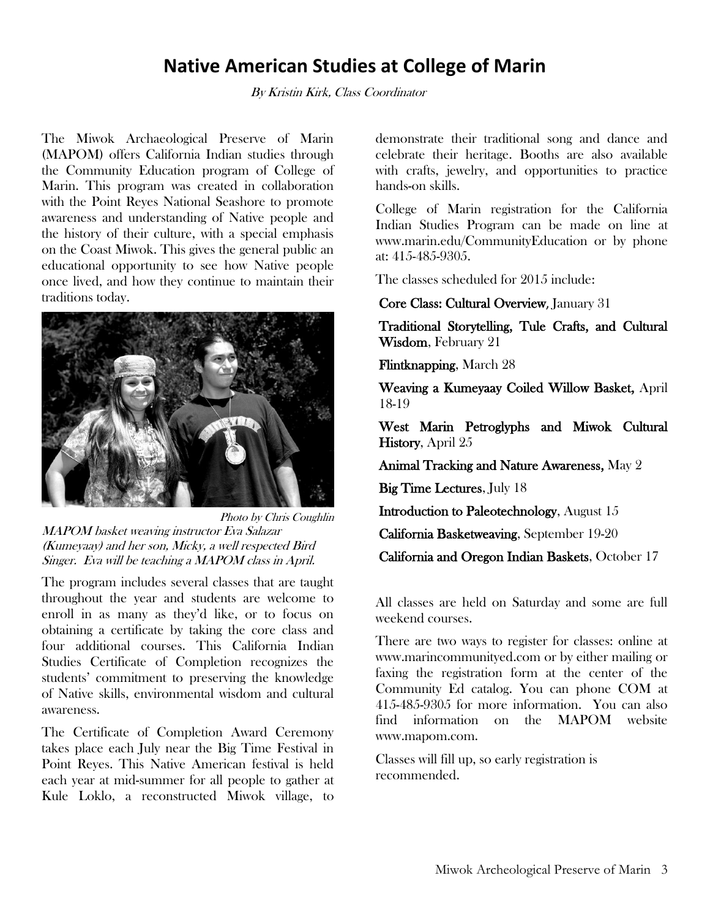### **Native American Studies at College of Marin**

By Kristin Kirk, Class Coordinator

The Miwok Archaeological Preserve of Marin (MAPOM) offers California Indian studies through the Community Education program of College of Marin. This program was created in collaboration with the Point Reyes National Seashore to promote awareness and understanding of Native people and the history of their culture, with a special emphasis on the Coast Miwok. This gives the general public an educational opportunity to see how Native people once lived, and how they continue to maintain their traditions today.



Photo by Chris Coughlin MAPOM basket weaving instructor Eva Salazar (Kumeyaay) and her son, Micky, a well respected Bird Singer. Eva will be teaching a MAPOM class in April.

The program includes several classes that are taught throughout the year and students are welcome to enroll in as many as they'd like, or to focus on obtaining a certificate by taking the core class and four additional courses. This California Indian Studies Certificate of Completion recognizes the students' commitment to preserving the knowledge of Native skills, environmental wisdom and cultural awareness.

The Certificate of Completion Award Ceremony takes place each July near the Big Time Festival in Point Reyes. This Native American festival is held each year at mid-summer for all people to gather at Kule Loklo, a reconstructed Miwok village, to demonstrate their traditional song and dance and celebrate their heritage. Booths are also available with crafts, jewelry, and opportunities to practice hands-on skills.

College of Marin registration for the California Indian Studies Program can be made on line at www.marin.edu/CommunityEducation or by phone at: 415-485-9305.

The classes scheduled for 2015 include:

Core Class: Cultural Overview, January 31

Traditional Storytelling, Tule Crafts, and Cultural Wisdom, February 21

Flintknapping, March 28

Weaving a Kumeyaay Coiled Willow Basket, April 18-19

West Marin Petroglyphs and Miwok Cultural History, April 25

Animal Tracking and Nature Awareness, May 2

Big Time Lectures, July 18

Introduction to Paleotechnology, August 15

California Basketweaving, September 19-20

California and Oregon Indian Baskets, October 17

All classes are held on Saturday and some are full weekend courses.

There are two ways to register for classes: online at www.marincommunityed.com or by either mailing or faxing the registration form at the center of the Community Ed catalog. You can phone COM at 415-485-9305 for more information. You can also find information on the MAPOM website www.mapom.com.

Classes will fill up, so early registration is recommended.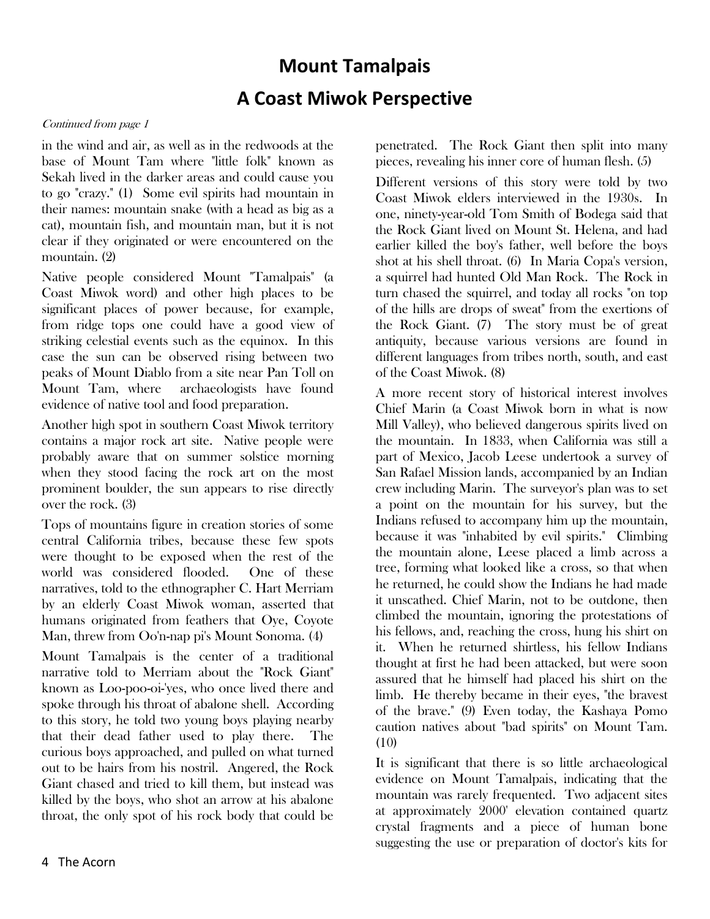# **Mount Tamalpais A Coast Miwok Perspective**

#### Continued from page 1

in the wind and air, as well as in the redwoods at the base of Mount Tam where "little folk" known as Sekah lived in the darker areas and could cause you to go "crazy." (1) Some evil spirits had mountain in their names: mountain snake (with a head as big as a cat), mountain fish, and mountain man, but it is not clear if they originated or were encountered on the mountain. (2)

Native people considered Mount "Tamalpais" (a Coast Miwok word) and other high places to be significant places of power because, for example, from ridge tops one could have a good view of striking celestial events such as the equinox. In this case the sun can be observed rising between two peaks of Mount Diablo from a site near Pan Toll on Mount Tam, where archaeologists have found evidence of native tool and food preparation.

Another high spot in southern Coast Miwok territory contains a major rock art site. Native people were probably aware that on summer solstice morning when they stood facing the rock art on the most prominent boulder, the sun appears to rise directly over the rock. (3)

Tops of mountains figure in creation stories of some central California tribes, because these few spots were thought to be exposed when the rest of the world was considered flooded. One of these narratives, told to the ethnographer C. Hart Merriam by an elderly Coast Miwok woman, asserted that humans originated from feathers that Oye, Coyote Man, threw from Oo'n-nap pi's Mount Sonoma. (4)

Mount Tamalpais is the center of a traditional narrative told to Merriam about the "Rock Giant" known as Loo-poo-oi-'yes, who once lived there and spoke through his throat of abalone shell. According to this story, he told two young boys playing nearby that their dead father used to play there. The curious boys approached, and pulled on what turned out to be hairs from his nostril. Angered, the Rock Giant chased and tried to kill them, but instead was killed by the boys, who shot an arrow at his abalone throat, the only spot of his rock body that could be

Different versions of this story were told by two Coast Miwok elders interviewed in the 1930s. In one, ninety-year-old Tom Smith of Bodega said that the Rock Giant lived on Mount St. Helena, and had earlier killed the boy's father, well before the boys shot at his shell throat. (6) In Maria Copa's version, a squirrel had hunted Old Man Rock. The Rock in turn chased the squirrel, and today all rocks "on top of the hills are drops of sweat" from the exertions of the Rock Giant. (7) The story must be of great antiquity, because various versions are found in different languages from tribes north, south, and east of the Coast Miwok. (8)

A more recent story of historical interest involves Chief Marin (a Coast Miwok born in what is now Mill Valley), who believed dangerous spirits lived on the mountain. In 1833, when California was still a part of Mexico, Jacob Leese undertook a survey of San Rafael Mission lands, accompanied by an Indian crew including Marin. The surveyor's plan was to set a point on the mountain for his survey, but the Indians refused to accompany him up the mountain, because it was "inhabited by evil spirits." Climbing the mountain alone, Leese placed a limb across a tree, forming what looked like a cross, so that when he returned, he could show the Indians he had made it unscathed. Chief Marin, not to be outdone, then climbed the mountain, ignoring the protestations of his fellows, and, reaching the cross, hung his shirt on it. When he returned shirtless, his fellow Indians thought at first he had been attacked, but were soon assured that he himself had placed his shirt on the limb. He thereby became in their eyes, "the bravest of the brave." (9) Even today, the Kashaya Pomo caution natives about "bad spirits" on Mount Tam. (10)

It is significant that there is so little archaeological evidence on Mount Tamalpais, indicating that the mountain was rarely frequented. Two adjacent sites at approximately 2000' elevation contained quartz crystal fragments and a piece of human bone suggesting the use or preparation of doctor's kits for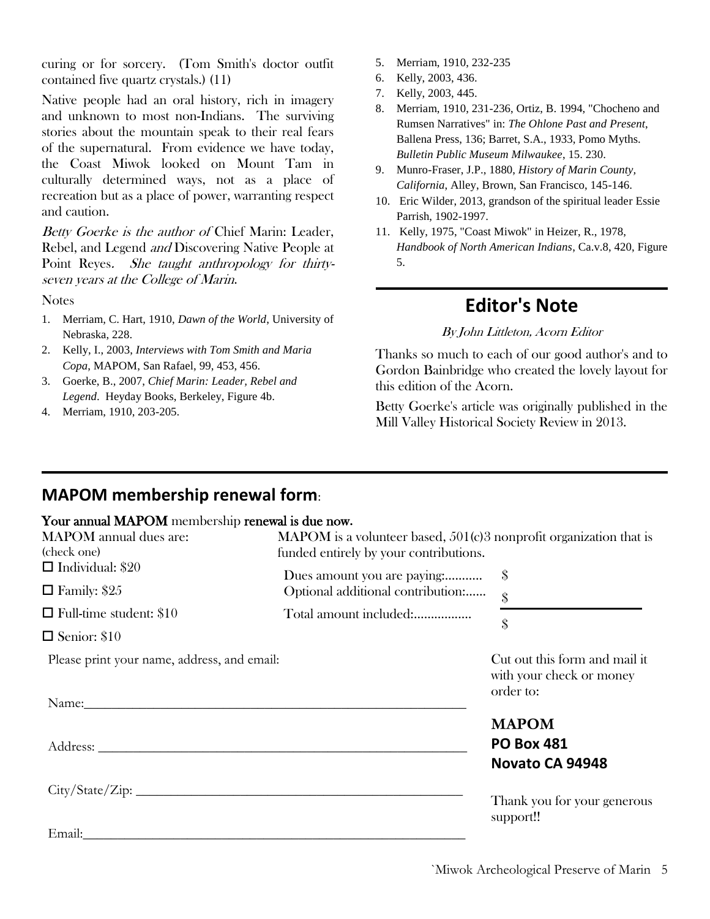curing or for sorcery. (Tom Smith's doctor outfit contained five quartz crystals.) (11)

Native people had an oral history, rich in imagery and unknown to most non-Indians. The surviving stories about the mountain speak to their real fears of the supernatural. From evidence we have today, the Coast Miwok looked on Mount Tam in culturally determined ways, not as a place of recreation but as a place of power, warranting respect and caution.

Betty Goerke is the author of Chief Marin: Leader, Rebel, and Legend and Discovering Native People at Point Reyes. She taught anthropology for thirtyseven years at the College of Marin.

**Notes** 

- 1. Merriam, C. Hart, 1910, *Dawn of the World*, University of Nebraska, 228.
- 2. Kelly, I., 2003, *Interviews with Tom Smith and Maria Copa*, MAPOM, San Rafael, 99, 453, 456.
- 3. Goerke, B., 2007, *Chief Marin: Leader, Rebel and Legend*. Heyday Books, Berkeley, Figure 4b.
- 4. Merriam, 1910, 203-205.
- 5. Merriam, 1910, 232-235
- 6. Kelly, 2003, 436.
- 7. Kelly, 2003, 445.
- 8. Merriam, 1910, 231-236, Ortiz, B. 1994, "Chocheno and Rumsen Narratives" in: *The Ohlone Past and Present*, Ballena Press, 136; Barret, S.A., 1933, Pomo Myths. *Bulletin Public Museum Milwaukee*, 15. 230.
- 9. Munro-Fraser, J.P., 1880, *History of Marin County, California*, Alley, Brown, San Francisco, 145-146.
- 10. Eric Wilder, 2013, grandson of the spiritual leader Essie Parrish, 1902-1997.
- 11. Kelly, 1975, "Coast Miwok" in Heizer, R., 1978, *Handbook of North American Indians*, Ca.v.8, 420, Figure 5.

### **Editor's Note**

By John Littleton, Acorn Editor

Thanks so much to each of our good author's and to Gordon Bainbridge who created the lovely layout for this edition of the Acorn.

Betty Goerke's article was originally published in the Mill Valley Historical Society Review in 2013.

### **MAPOM membership renewal form**:

#### Your annual MAPOM membership renewal is due now**.**

| Tom unique in the membership renewar to due now. |                                                                                                                       |                                                                        |
|--------------------------------------------------|-----------------------------------------------------------------------------------------------------------------------|------------------------------------------------------------------------|
| <b>MAPOM</b> annual dues are:<br>(check one)     | <b>MAPOM</b> is a volunteer based, $501(c)3$ nonprofit organization that is<br>funded entirely by your contributions. |                                                                        |
| $\Box$ Individual: \$20                          | Dues amount you are paying:                                                                                           | \$                                                                     |
| $\Box$ Family: \$25                              | Optional additional contribution:                                                                                     | $\hat{\mathcal{S}}$                                                    |
| $\Box$ Full-time student: \$10                   | Total amount included:                                                                                                | \$                                                                     |
| $\Box$ Senior: \$10                              |                                                                                                                       |                                                                        |
| Please print your name, address, and email:      |                                                                                                                       | Cut out this form and mail it<br>with your check or money<br>order to: |
|                                                  |                                                                                                                       |                                                                        |
|                                                  |                                                                                                                       | <b>MAPOM</b>                                                           |
| Address:                                         |                                                                                                                       | <b>PO Box 481</b>                                                      |
|                                                  |                                                                                                                       | Novato CA 94948                                                        |
| City/State/Zip:                                  |                                                                                                                       |                                                                        |
|                                                  |                                                                                                                       | Thank you for your generous<br>support!!                               |
| Email:                                           |                                                                                                                       |                                                                        |